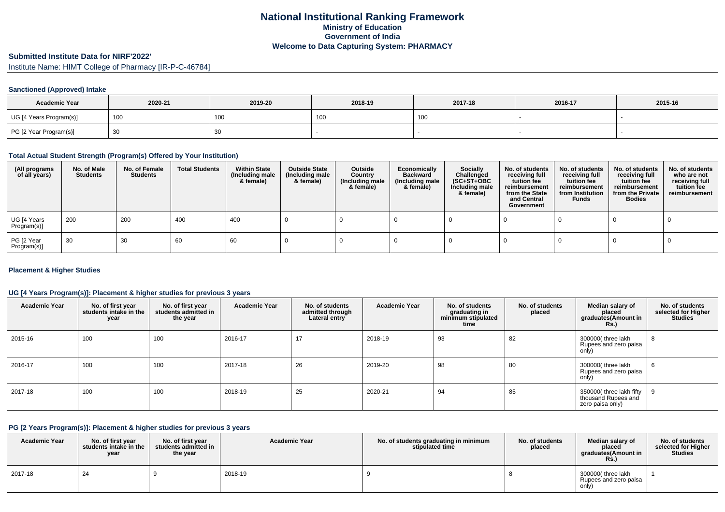# **Submitted Institute Data for NIRF'2022'**

Institute Name: HIMT College of Pharmacy [IR-P-C-46784]

## **Sanctioned (Approved) Intake**

| <b>Academic Year</b>    | 2020-21 | 2019-20 | 2018-19         | 2017-18           | 2016-17 | 2015-16 |
|-------------------------|---------|---------|-----------------|-------------------|---------|---------|
| UG [4 Years Program(s)] | 100     | 100     | 10 <sub>0</sub> | 100<br><b>IUU</b> |         |         |
| PG [2 Year Program(s)]  |         | 30      |                 |                   |         |         |

#### **Total Actual Student Strength (Program(s) Offered by Your Institution)**

| (All programs<br>of all years) | No. of Male<br><b>Students</b> | No. of Female<br><b>Students</b> | <b>Total Students</b> | <b>Within State</b><br>(Including male<br>& female) | <b>Outside State</b><br>(Including male<br>& female) | Outside<br>Country<br>(Including male<br>& female) | Economically<br><b>Backward</b><br>(Including male<br>& female) | <b>Socially</b><br>Challenged<br>$(SC+ST+OBC)$<br>Including male<br>& female) | No. of students<br>receiving full<br>tuition fee<br>reimbursement<br>from the State<br>and Central<br>Government | No. of students<br>receiving full<br>tuition fee<br>reimbursement<br>from Institution<br><b>Funds</b> | No. of students<br>receiving full<br>tuition fee<br>reimbursement<br>from the Private<br><b>Bodies</b> | No. of students<br>who are not<br>receiving full<br>tuition fee<br>reimbursement |
|--------------------------------|--------------------------------|----------------------------------|-----------------------|-----------------------------------------------------|------------------------------------------------------|----------------------------------------------------|-----------------------------------------------------------------|-------------------------------------------------------------------------------|------------------------------------------------------------------------------------------------------------------|-------------------------------------------------------------------------------------------------------|--------------------------------------------------------------------------------------------------------|----------------------------------------------------------------------------------|
| UG [4 Years<br>Program(s)]     | 200                            | 200                              | 400                   | 400                                                 |                                                      |                                                    |                                                                 |                                                                               |                                                                                                                  |                                                                                                       |                                                                                                        |                                                                                  |
| PG [2 Year<br>Program(s)]      | 30                             | 30                               | 60                    | 60                                                  |                                                      |                                                    |                                                                 |                                                                               |                                                                                                                  |                                                                                                       |                                                                                                        |                                                                                  |

## **Placement & Higher Studies**

## **UG [4 Years Program(s)]: Placement & higher studies for previous 3 years**

| <b>Academic Year</b> | No. of first year<br>students intake in the<br>year | No. of first year<br>students admitted in<br>the year | <b>Academic Year</b> | No. of students<br>admitted through<br>Lateral entry | <b>Academic Year</b> | No. of students<br>graduating in<br>minimum stipulated<br>time | No. of students<br>placed | Median salary of<br>placed<br>graduates(Amount in<br><b>Rs.)</b>   | No. of students<br>selected for Higher<br><b>Studies</b> |
|----------------------|-----------------------------------------------------|-------------------------------------------------------|----------------------|------------------------------------------------------|----------------------|----------------------------------------------------------------|---------------------------|--------------------------------------------------------------------|----------------------------------------------------------|
| 2015-16              | 100                                                 | 100                                                   | 2016-17              | 17                                                   | 2018-19              | 93                                                             | 82                        | 300000( three lakh<br>Rupees and zero paisa<br>only)               | 8                                                        |
| 2016-17              | 100                                                 | 100                                                   | 2017-18              | 26                                                   | 2019-20              | 98                                                             | 80                        | 300000(three lakh<br>Rupees and zero paisa<br>only)                | O                                                        |
| 2017-18              | 100                                                 | 100                                                   | 2018-19              | 25                                                   | 2020-21              | 94                                                             | 85                        | 350000(three lakh fifty<br>thousand Rupees and<br>zero paisa only) |                                                          |

### **PG [2 Years Program(s)]: Placement & higher studies for previous 3 years**

| <b>Academic Year</b> | No. of first vear<br>students intake in the<br>year | No. of first year<br>students admitted in<br>the year | <b>Academic Year</b> | No. of students graduating in minimum<br>stipulated time | No. of students<br>placed | Median salary of<br>placed<br>araduates(Amount in<br><b>Rs.</b> ) | No. of students<br>selected for Higher<br><b>Studies</b> |
|----------------------|-----------------------------------------------------|-------------------------------------------------------|----------------------|----------------------------------------------------------|---------------------------|-------------------------------------------------------------------|----------------------------------------------------------|
| 2017-18              | 24                                                  |                                                       | 2018-19              |                                                          |                           | 300000( three lakh<br>Rupees and zero paisa<br>only)              |                                                          |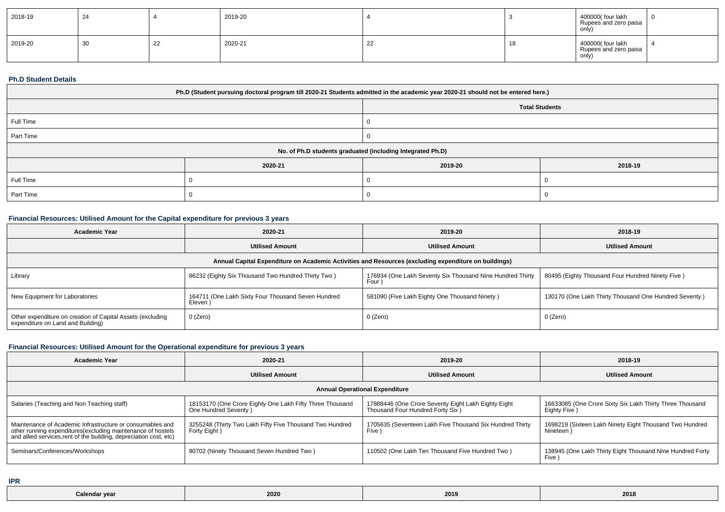| 2018-19 | 24 |    | 2019-20 |    | 400000 (four lakh<br>Rupees and zero paisa<br>only) |  |
|---------|----|----|---------|----|-----------------------------------------------------|--|
| 2019-20 | 30 | 22 | 2020-21 | ~~ | 400000 (four lakh<br>Rupees and zero paisa<br>only) |  |

#### **Ph.D Student Details**

| Ph.D (Student pursuing doctoral program till 2020-21 Students admitted in the academic year 2020-21 should not be entered here.) |                                                            |         |         |  |  |  |
|----------------------------------------------------------------------------------------------------------------------------------|------------------------------------------------------------|---------|---------|--|--|--|
| <b>Total Students</b>                                                                                                            |                                                            |         |         |  |  |  |
| Full Time                                                                                                                        |                                                            |         |         |  |  |  |
| Part Time                                                                                                                        |                                                            |         |         |  |  |  |
|                                                                                                                                  | No. of Ph.D students graduated (including Integrated Ph.D) |         |         |  |  |  |
|                                                                                                                                  | 2020-21                                                    | 2019-20 | 2018-19 |  |  |  |
| Full Time                                                                                                                        |                                                            |         |         |  |  |  |
| Part Time                                                                                                                        |                                                            |         |         |  |  |  |

## **Financial Resources: Utilised Amount for the Capital expenditure for previous 3 years**

| Academic Year                                                                                        | 2020-21                                                      | 2019-20                                                           | 2018-19                                               |  |  |  |  |  |  |
|------------------------------------------------------------------------------------------------------|--------------------------------------------------------------|-------------------------------------------------------------------|-------------------------------------------------------|--|--|--|--|--|--|
|                                                                                                      | <b>Utilised Amount</b>                                       | <b>Utilised Amount</b>                                            | <b>Utilised Amount</b>                                |  |  |  |  |  |  |
| Annual Capital Expenditure on Academic Activities and Resources (excluding expenditure on buildings) |                                                              |                                                                   |                                                       |  |  |  |  |  |  |
| Library                                                                                              | 86232 (Eighty Six Thousand Two Hundred Thirty Two)           | 176934 (One Lakh Seventy Six Thousand Nine Hundred Thirty<br>Four | 80495 (Eighty Thousand Four Hundred Ninety Five)      |  |  |  |  |  |  |
| New Equipment for Laboratories                                                                       | 164711 (One Lakh Sixty Four Thousand Seven Hundred<br>Eleven | 581090 (Five Lakh Eighty One Thousand Ninety)                     | 130170 (One Lakh Thirty Thousand One Hundred Seventy) |  |  |  |  |  |  |
| Other expenditure on creation of Capital Assets (excluding<br>expenditure on Land and Building)      | 0 (Zero)                                                     | 0 (Zero)                                                          | 0 (Zero)                                              |  |  |  |  |  |  |

# **Financial Resources: Utilised Amount for the Operational expenditure for previous 3 years**

| <b>Academic Year</b>                                                                                                                                                                            | 2020-21                                                                          | 2019-20                                                                                 | 2018-19                                                                  |  |  |  |  |  |
|-------------------------------------------------------------------------------------------------------------------------------------------------------------------------------------------------|----------------------------------------------------------------------------------|-----------------------------------------------------------------------------------------|--------------------------------------------------------------------------|--|--|--|--|--|
|                                                                                                                                                                                                 | <b>Utilised Amount</b>                                                           | <b>Utilised Amount</b>                                                                  | <b>Utilised Amount</b>                                                   |  |  |  |  |  |
| <b>Annual Operational Expenditure</b>                                                                                                                                                           |                                                                                  |                                                                                         |                                                                          |  |  |  |  |  |
| Salaries (Teaching and Non Teaching staff)                                                                                                                                                      | 18153170 (One Crore Eighty One Lakh Fifty Three Thousand<br>One Hundred Seventy) | 17888446 (One Crore Seventy Eight Lakh Eighty Eight<br>Thousand Four Hundred Forty Six) | 16633085 (One Crore Sixty Six Lakh Thirty Three Thousand<br>Eighty Five) |  |  |  |  |  |
| Maintenance of Academic Infrastructure or consumables and<br>other running expenditures (excluding maintenance of hostels<br>and allied services, rent of the building, depreciation cost, etc) | 3255248 (Thirty Two Lakh Fifty Five Thousand Two Hundred<br>Forty Eight)         | 1705635 (Seventeen Lakh Five Thousand Six Hundred Thirty<br>Five )                      | 1698219 (Sixteen Lakh Ninety Eight Thousand Two Hundred<br>Nineteen      |  |  |  |  |  |
| Seminars/Conferences/Workshops                                                                                                                                                                  | 90702 (Ninety Thousand Seven Hundred Two)                                        | 110502 (One Lakh Ten Thousand Five Hundred Two)                                         | 138945 (One Lakh Thirty Eight Thousand Nine Hundred Forty<br><b>Five</b> |  |  |  |  |  |

**IPR**

| Calendar |      |      | 2018 |
|----------|------|------|------|
| ' vea    | 2020 | 2019 |      |
|          |      |      |      |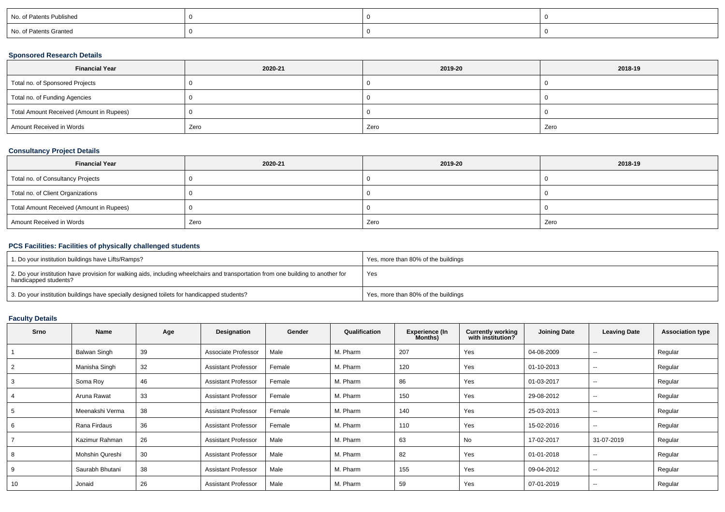| No. of Patents Published |  |  |
|--------------------------|--|--|
| No. of Patents Granted   |  |  |

## **Sponsored Research Details**

| <b>Financial Year</b>                    | 2020-21 | 2019-20 | 2018-19 |
|------------------------------------------|---------|---------|---------|
| Total no. of Sponsored Projects          |         |         |         |
| Total no. of Funding Agencies            |         |         |         |
| Total Amount Received (Amount in Rupees) |         |         |         |
| Amount Received in Words                 | Zero    | Zero    | Zero    |

## **Consultancy Project Details**

| <b>Financial Year</b>                    | 2020-21 | 2019-20 | 2018-19 |
|------------------------------------------|---------|---------|---------|
| Total no. of Consultancy Projects        |         |         |         |
| Total no. of Client Organizations        |         |         |         |
| Total Amount Received (Amount in Rupees) |         |         |         |
| Amount Received in Words                 | Zero    | Zero    | Zero    |

## **PCS Facilities: Facilities of physically challenged students**

| 1. Do your institution buildings have Lifts/Ramps?                                                                                                         | Yes, more than 80% of the buildings |
|------------------------------------------------------------------------------------------------------------------------------------------------------------|-------------------------------------|
| 2. Do your institution have provision for walking aids, including wheelchairs and transportation from one building to another for<br>handicapped students? | Yes                                 |
| 3. Do your institution buildings have specially designed toilets for handicapped students?                                                                 | Yes, more than 80% of the buildings |

# **Faculty Details**

| Srno | Name            | Age | Designation                | Gender | Qualification | <b>Experience (In</b><br>Months) | <b>Currently working</b><br>with institution? | <b>Joining Date</b> | <b>Leaving Date</b> | <b>Association type</b> |
|------|-----------------|-----|----------------------------|--------|---------------|----------------------------------|-----------------------------------------------|---------------------|---------------------|-------------------------|
|      | Balwan Singh    | 39  | Associate Professor        | Male   | M. Pharm      | 207                              | Yes                                           | 04-08-2009          | $\sim$              | Regular                 |
|      | Manisha Singh   | 32  | <b>Assistant Professor</b> | Female | M. Pharm      | 120                              | Yes                                           | 01-10-2013          | $\sim$              | Regular                 |
| 3    | Soma Roy        | 46  | <b>Assistant Professor</b> | Female | M. Pharm      | 86                               | Yes                                           | 01-03-2017          | $\sim$              | Regular                 |
|      | Aruna Rawat     | 33  | <b>Assistant Professor</b> | Female | M. Pharm      | 150                              | Yes                                           | 29-08-2012          | $\sim$              | Regular                 |
|      | Meenakshi Verma | 38  | <b>Assistant Professor</b> | Female | M. Pharm      | 140                              | Yes                                           | 25-03-2013          | $\sim$              | Regular                 |
| 6    | Rana Firdaus    | 36  | <b>Assistant Professor</b> | Female | M. Pharm      | 110                              | Yes                                           | 15-02-2016          | $\sim$              | Regular                 |
|      | Kazimur Rahman  | 26  | <b>Assistant Professor</b> | Male   | M. Pharm      | 63                               | No                                            | 17-02-2017          | 31-07-2019          | Regular                 |
|      | Mohshin Qureshi | 30  | <b>Assistant Professor</b> | Male   | M. Pharm      | 82                               | Yes                                           | 01-01-2018          | $\sim$              | Regular                 |
|      | Saurabh Bhutani | 38  | <b>Assistant Professor</b> | Male   | M. Pharm      | 155                              | Yes                                           | 09-04-2012          | $\sim$              | Regular                 |
| 10   | Jonaid          | 26  | <b>Assistant Professor</b> | Male   | M. Pharm      | 59                               | Yes                                           | 07-01-2019          | $\sim$              | Regular                 |